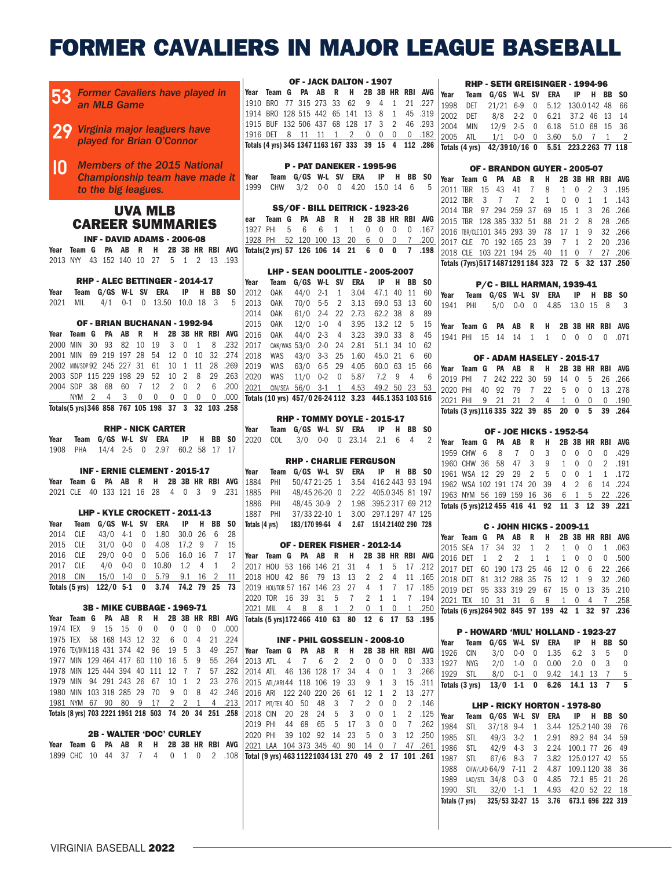# FORMER CAVALIERS IN MAJOR LEAGUE BASEBALL

|                                            |                           |                     |  |                                                        |                               |                |                |                                              |                |            | OF - JACK DALTON - 1907                                |            |                                     |                                     |                              |                         |                |      |                                                      |            |                 |           |                |                                                       |                |                             |    |                          |
|--------------------------------------------|---------------------------|---------------------|--|--------------------------------------------------------|-------------------------------|----------------|----------------|----------------------------------------------|----------------|------------|--------------------------------------------------------|------------|-------------------------------------|-------------------------------------|------------------------------|-------------------------|----------------|------|------------------------------------------------------|------------|-----------------|-----------|----------------|-------------------------------------------------------|----------------|-----------------------------|----|--------------------------|
|                                            |                           |                     |  | <b>Former Cavaliers have played in</b>                 |                               |                |                |                                              |                |            | Year Team G PA AB R H 2B 3B HR RBI AVG                 |            |                                     |                                     |                              |                         |                |      |                                                      |            |                 |           |                | RHP - SETH GREISINGER - 1994-96                       |                |                             |    |                          |
| 53                                         |                           |                     |  |                                                        |                               |                |                |                                              |                |            | 1910 BRO 77 315 273 33 62 9 4 1 21 .227                |            |                                     |                                     |                              |                         |                |      | Year                                                 |            |                 |           |                | Team G/GS W-L SV ERA                                  |                | IP H BB SO                  |    |                          |
|                                            |                           | an MLB Game         |  |                                                        |                               |                |                |                                              |                |            | 1914 BRO 128 515 442 65 141 13 8 1 45 .319             |            |                                     |                                     |                              |                         |                |      | 1998                                                 | DET        | $21/21$ 6-9 0   |           |                |                                                       |                | 5.12 130.0142 48 66         |    |                          |
|                                            |                           |                     |  |                                                        |                               |                |                |                                              |                |            | 1915 BUF 132 506 437 68 128 17 3 2 46 .293             |            |                                     |                                     |                              |                         |                |      | 2002                                                 | DET        | $8/8$ 2-2 0     |           |                |                                                       |                | 6.21 37.2 46 13 14          |    |                          |
|                                            |                           |                     |  | 29 Virginia major leaguers have                        |                               |                |                |                                              |                |            |                                                        |            |                                     |                                     |                              |                         |                |      | 2004                                                 | <b>MIN</b> | $12/9$ 2-5 0    |           |                | 6.18 51.0 68 15 36                                    |                |                             |    |                          |
|                                            |                           |                     |  | played for Brian O'Connor                              |                               |                |                |                                              |                |            | 1916 DET 8 11 11 1 2 0 0                               |            |                                     |                                     |                              | $\overline{0}$          | 0.182          |      | 2005                                                 | ATL        | $1/1$ 0-0 0     |           |                | 3.60                                                  |                |                             |    | 5.0 7 1 2                |
|                                            |                           |                     |  |                                                        |                               |                |                |                                              |                |            | Totals (4 yrs) 345 1347 1163 167 333 39 15 4 112 .286  |            |                                     |                                     |                              |                         |                |      | Totals (4 yrs) 42/3910/16 0                          |            |                 |           |                |                                                       |                | 5.51 223.2263 77 118        |    |                          |
|                                            |                           |                     |  | <b>Members of the 2015 National</b>                    |                               |                |                |                                              |                |            |                                                        |            |                                     |                                     |                              |                         |                |      |                                                      |            |                 |           |                |                                                       |                |                             |    |                          |
| IN                                         |                           |                     |  |                                                        |                               |                |                |                                              |                |            | <b>P - PAT DANEKER - 1995-96</b>                       |            |                                     |                                     |                              |                         |                |      |                                                      |            |                 |           |                | OF - BRANDON GUYER - 2005-07                          |                |                             |    |                          |
|                                            |                           |                     |  | Championship team have made it                         |                               |                |                |                                              | Year           |            | Team G/GS W-L SV ERA                                   |            |                                     |                                     |                              | IP H BB SO              |                |      | Year Team G PA AB R H                                |            |                 |           |                |                                                       |                |                             |    | 2B 3B HR RBI AVG         |
|                                            |                           | to the big leagues. |  |                                                        |                               |                |                |                                              | 1999           | CHW        |                                                        |            |                                     | $3/2$ 0-0 0 4.20                    | 15.0 14 6                    |                         |                | - 5  | 2011 TBR 15 43                                       |            |                 | 41        | $\overline{7}$ | 8                                                     | 1              | $\mathbf 0$<br>2            |    | 3 .195                   |
|                                            |                           |                     |  |                                                        |                               |                |                |                                              |                |            |                                                        |            |                                     |                                     |                              |                         |                |      | 2012 TBR                                             |            | 3 7 7           |           | 2              | $\mathbf{1}$                                          | 0              | $\mathbf 0$<br>1            |    | 1 .143                   |
|                                            |                           |                     |  | <b>UVA MLB</b>                                         |                               |                |                |                                              |                |            | SS/OF - BILL DEITRICK - 1923-26                        |            |                                     |                                     |                              |                         |                |      | 2014 TBR 97 294 259 37 69                            |            |                 |           |                |                                                       | 15             | 1 3                         |    | 26.266                   |
|                                            |                           |                     |  | <b>CAREER SUMMARIES</b>                                |                               |                |                |                                              | ear            |            | Team G PA AB R H 2B 3B HR RBI AVG                      |            |                                     |                                     |                              |                         |                |      | 2015 TBR 128 385 332 51 88                           |            |                 |           |                |                                                       | 21             | $\overline{2}$<br>- 8       | 28 | .265                     |
|                                            |                           |                     |  |                                                        |                               |                |                |                                              | 1927 PHI       |            | 6<br>5                                                 | 6          | 1                                   | 1                                   | $\overline{0}$<br>$0\quad 0$ |                         | $\mathbf{0}$   | .167 | 2016 TBR/CLE101 345 293 39 78                        |            |                 |           |                |                                                       |                | 17 1 9                      |    | 32 .266                  |
|                                            |                           |                     |  | <b>INF - DAVID ADAMS - 2006-08</b>                     |                               |                |                |                                              |                |            | 1928 PHI 52 120 100 13 20                              |            |                                     | 6                                   | $0\quad 0$                   |                         | $\overline{7}$ | .200 | 2017 CLE 70 192 165 23 39                            |            |                 |           |                |                                                       |                | 7 1 2                       |    | 20 .236                  |
| Year                                       |                           |                     |  | Team G PA AB R H 2B 3B HR RBI AVG                      |                               |                |                |                                              |                |            | Totals(2 yrs) 57 126 106 14 21 6 0 0                   |            |                                     |                                     |                              |                         | 7.198          |      | 2018 CLE 103 221 194 25 40                           |            |                 |           |                |                                                       |                | 11 0 7                      |    | 27 .206                  |
|                                            |                           |                     |  | 2013 NYY 43 152 140 10 27 5 1 2 13 .193                |                               |                |                |                                              |                |            |                                                        |            |                                     |                                     |                              |                         |                |      | Totals (7yrs) 517 1487 1291 184 323 72 5 32 137 .250 |            |                 |           |                |                                                       |                |                             |    |                          |
|                                            |                           |                     |  |                                                        |                               |                |                |                                              |                |            | LHP - SEAN DOOLITTLE - 2005-2007                       |            |                                     |                                     |                              |                         |                |      |                                                      |            |                 |           |                |                                                       |                |                             |    |                          |
|                                            |                           |                     |  | RHP - ALEC BETTINGER - 2014-17                         |                               |                |                |                                              | Year           | Team       | G/GS W-L SV ERA                                        |            |                                     |                                     | IP                           | H BB SO                 |                |      |                                                      |            |                 |           |                | <b>P/C - BILL HARMAN, 1939-41</b>                     |                |                             |    |                          |
| Year                                       | Team                      |                     |  | G/GS W-L SV ERA                                        |                               |                | IP H BB        | - SO                                         | 2012           | OAK        | $44/0$ 2-1 1                                           |            |                                     | 3.04                                |                              | 47.1 40 11              |                | -60  | Year                                                 |            |                 |           |                | Team G/GS W-L SV ERA                                  |                | IP H BB SO                  |    |                          |
| 2021                                       | MIL                       |                     |  | 4/1 0-1 0 13.50 10.0 18 3                              |                               |                |                | 5                                            | 2013           | OAK        |                                                        | $70/0$ 5-5 | $\overline{2}$                      | 3.13                                |                              | 69.0 53 13              |                | 60   | 1941                                                 | PHI        | 5/0             | $0 - 0$ 0 |                |                                                       |                | 4.85 13.0 15 8              |    | $\overline{\phantom{a}}$ |
|                                            |                           |                     |  |                                                        |                               |                |                |                                              | 2014           | OAK        |                                                        |            |                                     | 61/0 2-4 22 2.73                    | 62.2 38                      |                         | - 8            | 89   |                                                      |            |                 |           |                |                                                       |                |                             |    |                          |
|                                            |                           |                     |  | OF - BRIAN BUCHANAN - 1992-94                          |                               |                |                |                                              | 2015           | OAK        | $12/0$ 1-0                                             |            | $\overline{4}$                      | 3.95                                | 13.2 12 5                    |                         |                | 15   | Year Team G PA AB                                    |            |                 |           |                | R H 2B 3B HR RBI AVG                                  |                |                             |    |                          |
| Year Team G PA AB R H                      |                           |                     |  |                                                        | 2B 3B HR RBI AVG              |                |                |                                              | 2016           | OAK        |                                                        | $44/0$ 2-3 | $\overline{4}$                      | 3.23                                |                              | 39.0 33 8               |                | 45   |                                                      |            |                 |           |                | 1941 PHI 15 14 14 1 1 0 0 0                           |                |                             |    | 0 .071                   |
|                                            | 2000 MIN 30 93 82 10 19   |                     |  |                                                        | $3 \quad 0 \quad 1$           |                | 8              | .232                                         | 2017           |            | 0AK/WAS 53/0 2-0                                       |            |                                     | 24 2.81                             |                              | 51.1 34 10              |                | 62   |                                                      |            |                 |           |                |                                                       |                |                             |    |                          |
|                                            |                           |                     |  | 2001 MIN 69 219 197 28 54 12 0 10 32                   |                               |                |                | .274                                         | 2018           | <b>WAS</b> |                                                        |            |                                     | 43/0 3-3 25 1.60                    |                              | 45.0 21 6               |                | 60   |                                                      |            |                 |           |                | OF - ADAM HASELEY - 2015-17                           |                |                             |    |                          |
|                                            |                           |                     |  | 2002 MIN/SDP 92 245 227 31 61 10 1 11 28               |                               |                |                | .269                                         | 2019           | WAS        | 63/0 6-5 29                                            |            |                                     | 4.05                                |                              | 60.0 63 15              |                | 66   | Year Team G PA AB R H                                |            |                 |           |                |                                                       |                |                             |    | 2B 3B HR RBI AVG         |
|                                            |                           |                     |  | 2003 SDP 115 229 198 29 52 10 2                        |                               | 8              | - 29           | .263                                         | 2020           | WAS        |                                                        |            |                                     | $11/0$ 0-2 0 5.87                   | $7.2$ 9                      |                         | $\overline{4}$ |      | 2019 PHI                                             |            | 7 242 222 30 59 |           |                |                                                       | 14 0           | - 5                         |    | 26. 266                  |
|                                            | 2004 SDP 38 68 60 7 12    |                     |  |                                                        | $2 \quad 0$                   | 2              | 6              | .200                                         | 2021           |            | CIN/SEA 56/0 3-1 1 4.53                                |            |                                     |                                     | 49.2 50 23 53                |                         |                |      | 2020 PHI                                             |            | 40 92 79 7 22   |           |                |                                                       |                |                             |    | 5 0 0 13 .278            |
|                                            | NYM 2 4 3 0 0             |                     |  |                                                        | $0\quad 0\quad 0$             |                | $\mathbf 0$    | .000                                         |                |            | Totals (10 yrs) 457/0 26-24 112 3.23 445.1 353 103 516 |            |                                     |                                     |                              |                         |                |      | 2021 PHI                                             |            | 9 21 21 2       |           |                | 4                                                     | 1              | $0\quad 0$                  |    | $0$ .190                 |
|                                            |                           |                     |  | Totals(5 yrs) 346 858 767 105 198 37 3 32 103 .258     |                               |                |                |                                              |                |            |                                                        |            |                                     |                                     |                              |                         |                |      | Totals (3 yrs)116 335 322 39 85 20 0 5               |            |                 |           |                |                                                       |                |                             |    | 39 .264                  |
|                                            |                           |                     |  |                                                        |                               |                |                |                                              |                |            | <b>RHP - TOMMY DOYLE - 2015-17</b>                     |            |                                     |                                     |                              |                         |                |      |                                                      |            |                 |           |                |                                                       |                |                             |    |                          |
|                                            |                           |                     |  | <b>RHP - NICK CARTER</b>                               |                               |                |                |                                              | Year           |            | Team G/GS W-L SV ERA                                   |            |                                     |                                     |                              | IP H BB SO              |                |      |                                                      |            |                 |           |                | <b>OF - JOE HICKS - 1952-54</b>                       |                |                             |    |                          |
| Year                                       |                           |                     |  | Team G/GS W-L SV ERA                                   |                               |                | IP H BB SO     |                                              | 2020           | COL        |                                                        |            |                                     | 3/0 0-0 0 23.14 2.1 6               |                              |                         | -4             | 2    | Year Team G PA AB                                    |            |                 |           | R              | <b>H</b>                                              |                |                             |    | 2B 3B HR RBI AVG         |
| 1908                                       | PHA                       |                     |  | 14/4 2-5 0 2.97 60.2 58 17 17                          |                               |                |                |                                              |                |            |                                                        |            |                                     |                                     |                              |                         |                |      | 1959 CHW 6                                           |            | 8               | 7         | $\mathbf 0$    | 3                                                     | $\mathbf 0$    | $\mathbf{0}$<br>$\mathbf 0$ |    | 0.429                    |
|                                            |                           |                     |  |                                                        |                               |                |                |                                              |                |            | <b>RHP - CHARLIE FERGUSON</b>                          |            |                                     |                                     |                              |                         |                |      | 1960 CHW 36 58                                       |            |                 | 47        | 3              |                                                       |                | $\mathbf 0$                 |    | 2 .191                   |
|                                            |                           |                     |  | INF - ERNIE CLEMENT - 2015-17                          |                               |                |                |                                              | Year           |            | Team G/GS W-L SV ERA                                   |            |                                     |                                     |                              | IP H BB SO              |                |      |                                                      |            |                 |           |                | 9                                                     | $\mathbf{1}$   | $\mathbf 0$                 |    |                          |
|                                            |                           |                     |  |                                                        |                               |                |                |                                              |                |            |                                                        |            |                                     |                                     |                              |                         |                |      | 1961 WSA 12 29                                       |            |                 | 29        | 2              | 5                                                     | 0              | $\mathbf{0}$<br>1           |    | 1 .172                   |
|                                            |                           |                     |  |                                                        |                               |                |                |                                              |                |            |                                                        |            |                                     |                                     |                              |                         |                |      |                                                      |            |                 |           |                |                                                       |                |                             |    | 14 .224                  |
|                                            |                           |                     |  | Year Team G PA AB R H 2B 3B HR RBI AVG                 |                               |                |                |                                              | 1884           | PHI        |                                                        |            | 50/47 21-25 1 3.54 416.2 443 93 194 |                                     |                              |                         |                |      | 1962 WSA 102 191 174 20 39                           |            |                 |           |                |                                                       | $\overline{4}$ | 2<br>6                      |    |                          |
| 2021 CLE 40 133 121 16 28                  |                           |                     |  |                                                        | 4 0 3 9                       |                |                | .231                                         | 1885           | PHI        |                                                        |            |                                     | 48/45 26-20 0 2.22 405.0345 81 197  |                              |                         |                |      | 1963 NYM 56 169 159 16 36                            |            |                 |           |                |                                                       |                | 6 1 5                       |    | 22 .226                  |
|                                            |                           |                     |  |                                                        |                               |                |                |                                              | 1886           | PHI        |                                                        |            |                                     | 48/45 30-9 2 1.98 395.2317 69 212   |                              |                         |                |      | Totals (5 yrs) 212 455 416 41 92 11 3 12 39 .221     |            |                 |           |                |                                                       |                |                             |    |                          |
|                                            |                           |                     |  | LHP - KYLE CROCKETT - 2011-13                          |                               |                |                |                                              | 1887           | PHI        |                                                        |            |                                     | 37/33 22-10 1 3.00 297.1 297 47 125 |                              |                         |                |      |                                                      |            |                 |           |                |                                                       |                |                             |    |                          |
| Year                                       | Team                      |                     |  | G/GS W-L SV ERA                                        | IP                            | H              |                | BB SO                                        | Totals (4 yrs) |            | 183/170 99-64 4 2.67 1514.21402 290 728                |            |                                     |                                     |                              |                         |                |      |                                                      |            |                 |           |                | <b>C - JOHN HICKS - 2009-11</b>                       |                |                             |    |                          |
| 2014                                       | <b>CLE</b>                | $43/0$ 4-1 0        |  | 1.80                                                   |                               | 30.0 26        | 6              | 28                                           |                |            |                                                        |            |                                     |                                     |                              |                         |                |      | Year Team G PA AB                                    |            |                 |           | R              | <b>H</b>                                              |                |                             |    | 2B 3B HR RBI AVG         |
|                                            | 2015 CLE                  |                     |  | 31/0 0-0 0 4.08                                        |                               | 17.2 9         | $\overline{7}$ | 15                                           |                |            | OF - DEREK FISHER - 2012-14                            |            |                                     |                                     |                              |                         |                |      | 2015 SEA 17 34 32 1                                  |            |                 |           |                | $\overline{2}$                                        |                |                             |    | 1 0 0 1 .063             |
|                                            | 2016 CLE                  |                     |  | 29/0 0-0 0 5.06 16.0 16 7 17                           |                               |                |                |                                              |                |            | Year Team G PA AB R H 2B 3B HR RBI AVG                 |            |                                     |                                     |                              |                         |                |      | 2016 DET 1 2 2 1 1                                   |            |                 |           |                |                                                       |                | 1 0 0                       |    | 0.500                    |
|                                            | 2017 CLE                  |                     |  | 4/0 0-0 0 10.80 1.2 4 1 2                              |                               |                |                |                                              |                |            | 2017 HOU 53 166 146 21 31 4 1 5 17 .212                |            |                                     |                                     |                              |                         |                |      | 2017 DET 60 190 173 25 46 12 0 6                     |            |                 |           |                |                                                       |                |                             |    | 22 .266                  |
|                                            | 2018 CIN                  |                     |  | 15/0 1-0 0 5.79 9.1 16 2 11                            |                               |                |                |                                              |                |            | 2018 HOU 42 86 79 13 13 2 2 4 11 .165                  |            |                                     |                                     |                              |                         |                |      | 2018 DET 81 312 288 35 75 12 1 9                     |            |                 |           |                |                                                       |                |                             |    | 32 .260                  |
|                                            |                           |                     |  | Totals (5 yrs) 122/0 5-1 0 3.74 74.2 79 25 73          |                               |                |                |                                              |                |            | 2019 HOU/TOR 57 167 146 23 27 4 1 7 17 185             |            |                                     |                                     |                              |                         |                |      | 2019 DET 95 333 319 29 67 15 0 13 35 .210            |            |                 |           |                |                                                       |                |                             |    |                          |
|                                            |                           |                     |  |                                                        |                               |                |                |                                              |                |            | 2020 TOR 16 39 31 5 7                                  |            |                                     |                                     | 2 1 1                        |                         | 7.194          |      | 2021 TEX 10 31 31 6 8 1 0 4 7 .258                   |            |                 |           |                |                                                       |                |                             |    |                          |
|                                            |                           |                     |  | 3B - MIKE CUBBAGE - 1969-71                            |                               |                |                |                                              |                |            | 2021 MIL 4 8 8 1                                       |            |                                     | $\overline{2}$                      | $0\quad 1$                   | $\mathbf 0$             | 1.250          |      | Totals (6 yrs) 264 902 845 97 199 42 1 32 97 .236    |            |                 |           |                |                                                       |                |                             |    |                          |
|                                            |                           |                     |  | Year Team G PA AB R H 2B 3B HR RBI AVG                 |                               |                |                |                                              |                |            | Totals (5 yrs) 172 466 410 63 80 12 6 17 53 .195       |            |                                     |                                     |                              |                         |                |      |                                                      |            |                 |           |                |                                                       |                |                             |    |                          |
| 1974 TEX 9 15 15 0 0                       |                           |                     |  |                                                        | $\mathbf 0$<br>$\overline{0}$ | $\overline{0}$ |                | 0.000                                        |                |            |                                                        |            |                                     |                                     |                              |                         |                |      |                                                      |            |                 |           |                | P - HOWARD 'MUL' HOLLAND - 1923-27                    |                |                             |    |                          |
|                                            | 1975 TEX 58 168 143 12 32 |                     |  |                                                        | 6 0 4 21 .224                 |                |                |                                              |                |            | INF - PHIL GOSSELIN - 2008-10                          |            |                                     |                                     |                              |                         |                |      | Year                                                 |            |                 |           |                | Team G/GS W-L SV ERA                                  |                | $IP$ H                      |    | BB SO                    |
|                                            |                           |                     |  |                                                        |                               |                |                | 1976 TEX/MIN118 431 374 42 96 19 5 3 49 .257 |                |            | Year Team G PA AB R H                                  |            |                                     |                                     | 2B 3B HR RBI AVG             |                         |                |      | 1926 CIN                                             |            |                 |           |                | 3/0 0-0 0 1.35                                        |                | $6.2 \quad 3$               | 5  | $\overline{\phantom{0}}$ |
| 1977 MIN 129 464 417 60 110 16 5 9 55 .264 |                           |                     |  |                                                        |                               |                |                |                                              |                |            | 2013 ATL 4 7 6 2 2                                     |            |                                     |                                     | $0\quad 0\quad 0$            |                         | 0.333          |      | 1927 NYG                                             |            | $2/0$ 1-0 0     |           |                | 0.00                                                  |                | $2.0 \t 0$                  | 3  | 0                        |
|                                            |                           |                     |  | 1978 MIN 125 444 394 40 111 12 7 7 57 .282             |                               |                |                |                                              |                |            | 2014 ATL 46 136 128 17 34                              |            |                                     |                                     | 4 0 1                        |                         | 3.266          |      | 1929 STL                                             |            |                 |           |                | 8/0 0-1 0 9.42 14.1 13 7                              |                |                             |    | 5                        |
|                                            |                           |                     |  |                                                        |                               |                |                | 1979 MIN 94 291 243 26 67 10 1 2 23 .276     |                |            | 2015 ATL/ARI44 118 106 19 33 9 1 3                     |            |                                     |                                     |                              |                         | 15 .311        |      |                                                      |            |                 |           |                | Totals (3 yrs) 13/0 1-1 0 6.26 14.1 13 7 5            |                |                             |    |                          |
|                                            |                           |                     |  | 1980 MIN 103 318 285 29 70 9 0 8 42 .246               |                               |                |                |                                              |                |            | 2016 ARI 122 240 220 26 61 12 1 2                      |            |                                     |                                     |                              |                         | 13.277         |      |                                                      |            |                 |           |                |                                                       |                |                             |    |                          |
|                                            |                           |                     |  |                                                        |                               |                |                | 1981 NYM 67 90 80 9 17 2 2 1 4 .213          |                |            | 2017 PIT/TEX 40 50 48                                  |            | $\overline{\mathbf{3}}$             | $\overline{7}$                      | $2 \quad 0 \quad 0$          |                         | 2 .146         |      |                                                      |            |                 |           |                | LHP - RICKY HORTON - 1978-80                          |                |                             |    |                          |
|                                            |                           |                     |  | Totals (8 yrs) 703 2221 1951 218 503 74 20 34 251 .258 |                               |                |                |                                              |                |            | 2018 CIN 20 28 24 5                                    |            |                                     | 3<br>0                              | $\overline{0}$               | $\overline{1}$          | 2 .125         |      | Year                                                 |            |                 |           |                | Team G/GS W-L SV ERA                                  |                | IP H BB SO                  |    |                          |
|                                            |                           |                     |  |                                                        |                               |                |                |                                              |                |            | 2019 PHI 44 68 65 5 17                                 |            |                                     |                                     | 3 0 0                        |                         | 7 .262         |      | 1984                                                 | STL        |                 |           |                | 37/18 9-4 1 3.44 125.2 140 39 76                      |                |                             |    |                          |
|                                            |                           |                     |  | <b>2B - WALTER 'DOC' CURLEY</b>                        |                               |                |                |                                              |                |            | 2020 PHI 39 102 92 14 23                               |            |                                     |                                     | 5 0                          | $\overline{\mathbf{3}}$ | 12 .250        |      | 1985                                                 | STL        |                 |           |                | 49/3 3-2 1 2.91 89.2 84 34 59                         |                |                             |    |                          |
|                                            |                           |                     |  |                                                        |                               |                |                | Year Team G PA AB R H 2B 3B HR RBI AVG       |                |            | 2021 LAA 104 373 345 40 90 14 0 7 47 .261              |            |                                     |                                     |                              |                         |                |      | 1986                                                 | STL        | $42/9$ 4-3 3    |           |                |                                                       |                | 2.24 100.1 77 26 49         |    |                          |
|                                            |                           |                     |  |                                                        |                               |                |                | 1899 CHC 10 44 37 7 4 0 1 0 2 .108           |                |            | Total (9 yrs) 463 1122 1034 131 270 49 2 17 101 .261   |            |                                     |                                     |                              |                         |                |      | 1987                                                 | STL        |                 |           |                | 67/6 8-3 7 3.82 125.0127 42 55                        |                |                             |    |                          |
|                                            |                           |                     |  |                                                        |                               |                |                |                                              |                |            |                                                        |            |                                     |                                     |                              |                         |                |      | 1988                                                 |            |                 |           |                | CHW/LAD 64/9 7-11 2 4.87 109.1 120 38 36              |                |                             |    |                          |
|                                            |                           |                     |  |                                                        |                               |                |                |                                              |                |            |                                                        |            |                                     |                                     |                              |                         |                |      | 1989 LAD/STL 34/8 0-3 0 4.85 72.1 85 21 26           |            |                 |           |                |                                                       |                |                             |    |                          |
|                                            |                           |                     |  |                                                        |                               |                |                |                                              |                |            |                                                        |            |                                     |                                     |                              |                         |                |      | 1990 STL 32/0 1-1 1 4.93 42.0 52 22 18               |            |                 |           |                |                                                       |                |                             |    |                          |
|                                            |                           |                     |  |                                                        |                               |                |                |                                              |                |            |                                                        |            |                                     |                                     |                              |                         |                |      |                                                      |            |                 |           |                | Totals (7 yrs) 325/53 32-27 15 3.76 673.1 696 222 319 |                |                             |    |                          |
|                                            |                           |                     |  |                                                        |                               |                |                |                                              |                |            |                                                        |            |                                     |                                     |                              |                         |                |      |                                                      |            |                 |           |                |                                                       |                |                             |    |                          |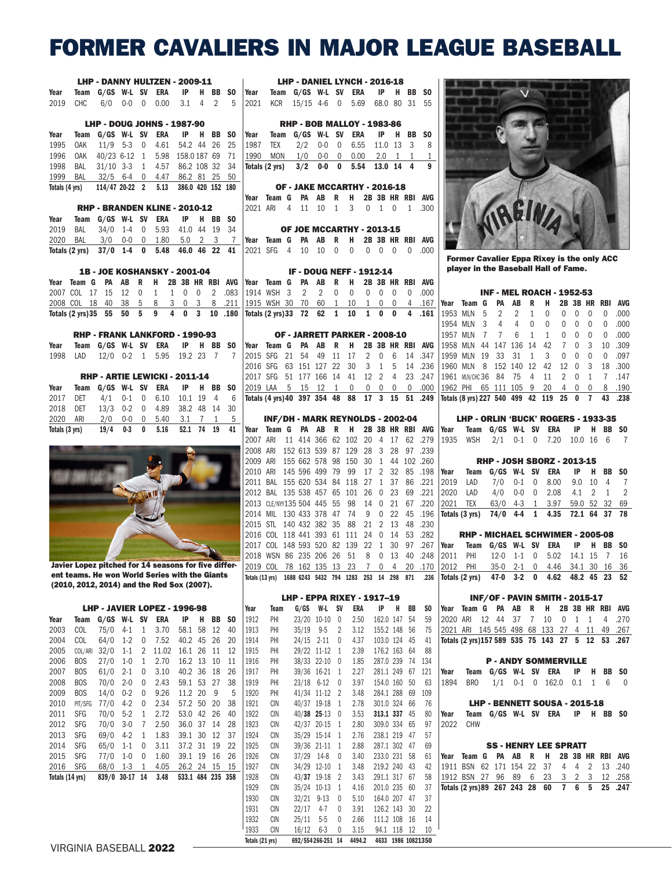# FORMER CAVALIERS IN MAJOR LEAGUE BASEBALL

|                |                                                                                                |                       |                 |                 | LHP - DANNY HULTZEN - 2009-11         |                    |                |                |                   |                                    |                                                                                   |       |                                        |                         |              |                |                              |                |                |                               |
|----------------|------------------------------------------------------------------------------------------------|-----------------------|-----------------|-----------------|---------------------------------------|--------------------|----------------|----------------|-------------------|------------------------------------|-----------------------------------------------------------------------------------|-------|----------------------------------------|-------------------------|--------------|----------------|------------------------------|----------------|----------------|-------------------------------|
| Year           |                                                                                                | Team G/GS W-L SV ERA  |                 |                 |                                       | IP                 |                |                |                   | H BB SO Year Team G/GS W-L SV ERA  |                                                                                   |       | <b>LHP - DANIEL LYNCH - 2016-18</b>    |                         |              |                | IP                           |                |                | H BB SO                       |
| 2019           | <b>CHC</b>                                                                                     |                       | $6/0$ 0-0 0     |                 | 0.00                                  | 3.1                |                |                | $4\quad 2\quad 5$ |                                    | 2021 KCR                                                                          |       | 15/15 4-6 0 5.69                       |                         |              |                |                              |                |                | 68.0 80 31 55                 |
|                |                                                                                                |                       |                 |                 | <b>LHP - DOUG JOHNS - 1987-90</b>     |                    |                |                |                   |                                    |                                                                                   |       | <b>RHP - BOB MALLOY - 1983-86</b>      |                         |              |                |                              |                |                |                               |
| Year           | Team                                                                                           |                       |                 |                 | G/GS W-L SV ERA                       | IP                 |                |                | H BB SO           | Year                               |                                                                                   |       | Team G/GS W-L SV ERA                   |                         |              |                | IP                           |                |                | H BB SO                       |
| 1995           | <b>OAK</b>                                                                                     | $11/9$ 5-3 0          |                 |                 | 4.61 54.2 44 26                       |                    |                |                | 25                |                                    | 1987 TEX                                                                          | 2/2   | $0 - 0$ 0                              |                         | 6.55         |                | 11.0 13                      |                | $\overline{3}$ | 8                             |
| 1996           | 0AK                                                                                            |                       |                 |                 | 40/23 6-12 1 5.98 158.0187 69 71      |                    |                |                |                   | 1990                               |                                                                                   |       | MON 1/0 0-0 0                          |                         | 0.00         |                |                              |                |                | $2.0 \quad 1 \quad 1 \quad 1$ |
| 1998           | BAL                                                                                            |                       |                 |                 | 31/10 3-3 1 4.57 86.2 108 32 34       |                    |                |                |                   |                                    | Totals (2 yrs)                                                                    |       | $3/2$ 0-0 0                            |                         | 5.54         |                | 13.0 14 4                    |                |                | 9                             |
| 1999           |                                                                                                |                       |                 |                 | BAL 32/5 6-4 0 4.47 86.2 81 25 50     |                    |                |                |                   |                                    |                                                                                   |       |                                        |                         |              |                |                              |                |                |                               |
|                | Totals (4 yrs) 114/47 20-22 2 5.13                                                             |                       |                 |                 |                                       | 386.0 420 152 180  |                |                |                   |                                    |                                                                                   |       | OF - JAKE MCCARTHY - 2016-18           |                         |              |                |                              |                |                |                               |
|                |                                                                                                |                       |                 |                 |                                       |                    |                |                |                   |                                    | Year Team G PA AB                                                                 |       |                                        | $\overline{R}$          | н            |                |                              |                |                | 2B 3B HR RBI AVG              |
|                |                                                                                                |                       |                 |                 | RHP - BRANDEN KLINE - 2010-12         |                    |                |                |                   |                                    | 2021 ARI 4 11                                                                     |       | 10                                     | $\mathbf{1}$            | 3            | $\mathbf{0}$   |                              | $1 \quad 0$    |                | 1 .300                        |
| Year           |                                                                                                | Team G/GS W-L SV ERA  |                 |                 |                                       | $\mathsf{IP}$      |                |                | H BB SO           |                                    |                                                                                   |       |                                        |                         |              |                |                              |                |                |                               |
| 2019           | BAL                                                                                            | $34/0$ 1-4 0          |                 |                 |                                       | 5.93 41.0 44 19 34 |                |                |                   |                                    |                                                                                   |       | OF JOE MCCARTHY - 2013-15              |                         |              |                |                              |                |                |                               |
| 2020           | BAL                                                                                            |                       |                 |                 | 3/0 0-0 0 1.80 5.0 2 3 7              |                    |                |                |                   | Year Team G PA AB                  |                                                                                   |       |                                        | $\overline{\mathbf{R}}$ | н            |                |                              |                |                | 2B 3B HR RBI AVG              |
|                | Totals (2 yrs) 37/0 1-4 0 5.48                                                                 |                       |                 |                 |                                       | 46.0 46 22 41      |                |                |                   | 2021 SFG 4 10 10                   |                                                                                   |       |                                        | $\mathbf 0$             | 0            | $\overline{0}$ | $\mathbf 0$                  | $\overline{0}$ | $\mathbf{0}$   | .000                          |
|                |                                                                                                |                       |                 |                 | <b>1B - JOE KOSHANSKY - 2001-04</b>   |                    |                |                |                   |                                    |                                                                                   |       | <b>IF - DOUG NEFF - 1912-14</b>        |                         |              |                |                              |                |                |                               |
|                | Year Team G                                                                                    | <b>PA AB</b>          |                 | $\overline{R}$  | H                                     |                    |                |                |                   | 2B 3B HR RBI AVG Year Team G PA AB |                                                                                   |       |                                        | $\overline{R}$          | H            |                |                              |                |                | 2B 3B HR RBI AVG              |
|                | 2007 COL 17 15                                                                                 |                       | 12              | $\overline{0}$  | $\mathbf{1}$                          | 1 0 0              |                | $\overline{2}$ | .083              |                                    | 1914 WSH 3                                                                        | 2     | $\overline{2}$                         | $\mathbf 0$             | 0            | 0              | $\mathbf 0$                  | $\overline{0}$ | $\Omega$       | .000                          |
|                | 2008 COL 18 40                                                                                 |                       | 38              | 5               | 8 <sup>8</sup>                        | 3 0 3              |                |                | 8 .211            |                                    | 1915 WSH 30 70 60                                                                 |       |                                        | 1                       | 10           | $\mathbf{1}$   | 0                            | 0              | 4              | .167                          |
|                | Totals $(2 \text{ yrs})35$ 55                                                                  |                       | 50 <sub>5</sub> |                 | 9                                     | $\overline{4}$     | 0 <sup>3</sup> |                | 10 .180           | Totals (2 yrs) 33 72               |                                                                                   |       | 62                                     | $\mathbf 1$             | 10           | $\mathbf{1}$   | $\mathbf{0}$                 | $\bf{0}$       | 4              | .161                          |
|                |                                                                                                |                       |                 |                 | <b>RHP - FRANK LANKFORD - 1990-93</b> |                    |                |                |                   |                                    |                                                                                   |       | OF - JARRETT PARKER - 2008-10          |                         |              |                |                              |                |                |                               |
| Year           |                                                                                                | Team G/GS W-L SV ERA  |                 |                 |                                       | IP                 |                |                | H BB SO           | Year Team G PA AB                  |                                                                                   |       |                                        | $\overline{R}$          | н            |                |                              |                |                | 2B 3B HR RBI AVG              |
| 1998           | LAD                                                                                            |                       |                 |                 | 12/0 0-2 1 5.95                       | 19.2 23 7 7        |                |                |                   |                                    | 2015 SFG 21 54 49 11                                                              |       |                                        |                         | 17           |                | $2\quad 0$                   | 6              |                | 14.347                        |
|                |                                                                                                |                       |                 |                 |                                       |                    |                |                |                   |                                    | 2016 SFG 63 151 127 22                                                            |       |                                        |                         | 30           | 3              | $\mathbf{1}$                 | 5              |                | 14 .236                       |
|                |                                                                                                |                       |                 |                 | RHP - ARTIE LEWICKI - 2011-14         |                    |                |                |                   |                                    | 2017 SFG 51 177 166 14 41                                                         |       |                                        |                         |              |                | 12 2                         | $\overline{4}$ |                | 23 .247                       |
| Year           | Team                                                                                           |                       |                 |                 | G/GS W-L SV ERA IP                    |                    |                |                | H BB SO           |                                    | 2019 LAA 5 15 12 1 0                                                              |       |                                        |                         |              | $\overline{0}$ | $0\quad 0$                   |                |                | 0 .000                        |
| 2017           | DET                                                                                            | 4/1                   | $0 - 1$         | $\overline{0}$  | 6.10                                  | 10.1 19            |                | $\overline{4}$ | - 6               |                                    | Totals (4 yrs) 40 397 354 48 88                                                   |       |                                        |                         |              |                |                              |                |                | 17 3 15 51 .249               |
| 2018           | DET                                                                                            | $13/3$ 0-2            |                 | $\mathbf 0$     | 4.89                                  | 38.2 48 14         |                |                | 30                |                                    |                                                                                   |       |                                        |                         |              |                |                              |                |                |                               |
| 2020           | ARI                                                                                            | 2/0                   |                 |                 | 0-0 0 5.40 3.1 7 1 5                  |                    |                |                |                   |                                    | INF/DH - MARK REYNOLDS - 2002-04                                                  |       |                                        |                         |              |                |                              |                |                |                               |
| Totals (3 yrs) |                                                                                                | 19/4                  | $0-3$ 0         |                 | 5.16                                  | 52.1 74 19         |                |                | 41                |                                    | Year Team G PA AB R                                                               |       |                                        |                         | H.           |                |                              |                |                | 2B 3B HR RBI AVG              |
|                |                                                                                                |                       |                 |                 |                                       |                    |                |                |                   |                                    | 2007 ARI 11 414 366 62 102 20 4 17 62 .279<br>2008 ARI 152 613 539 87 129 28 3 28 |       |                                        |                         |              |                |                              |                |                | 97.239                        |
|                |                                                                                                |                       |                 |                 |                                       |                    |                |                |                   |                                    | 2009 ARI 155 662 578 98 150 30                                                    |       |                                        |                         |              |                | 1                            |                |                | 44 102 .260                   |
|                |                                                                                                |                       |                 |                 |                                       |                    |                |                |                   |                                    | 2010 ARI 145 596 499 79 99                                                        |       |                                        |                         |              |                | 17 2 32                      |                |                | 85 .198                       |
|                |                                                                                                |                       |                 |                 |                                       |                    |                |                |                   |                                    | 2011 BAL 155 620 534 84 118 27                                                    |       |                                        |                         |              |                | 1 37                         |                |                | 86 .221                       |
|                |                                                                                                |                       |                 | <b>UNAN FIN</b> |                                       |                    |                |                |                   |                                    | 2012 BAL 135 538 457 65 101 26                                                    |       |                                        |                         |              |                | $\overline{0}$               | 23             |                | 69 .221                       |
|                |                                                                                                |                       |                 |                 |                                       |                    |                |                |                   |                                    | 2013 CLE/NY135 504 445 55                                                         |       |                                        |                         | 98           |                | 14 0 21                      |                |                | 67.220                        |
|                |                                                                                                |                       |                 |                 |                                       |                    |                |                |                   |                                    | 2014 MIL 130 433 378 47                                                           |       |                                        |                         | 74           | 9              | 0                            | 22             |                | 45 .196                       |
|                |                                                                                                |                       |                 |                 |                                       |                    |                |                |                   |                                    | 2015 STL 140 432 382 35                                                           |       |                                        |                         | 88           | 21             | 2                            | 13             |                | 48 .230                       |
|                |                                                                                                |                       |                 |                 |                                       |                    |                |                |                   |                                    | 2016 COL 118 441 393 61 111 24                                                    |       |                                        |                         |              |                | $\mathbf 0$                  | 14             |                | 53 .282                       |
|                |                                                                                                |                       |                 |                 |                                       |                    |                |                |                   |                                    | 2017 COL 148 593 520 82 139 22                                                    |       |                                        |                         |              |                | 1 30                         |                |                | 97 .267                       |
|                |                                                                                                |                       |                 |                 |                                       |                    |                |                |                   |                                    | 2018 WSN 86 235 206 26 51                                                         |       |                                        |                         |              |                |                              |                |                | 8 0 13 40 .248                |
|                | Javier Lopez pitched for 14 seasons for five<br>ent teams. He won World Series with the Giants |                       |                 |                 |                                       |                    |                |                |                   |                                    | 2019 COL 78 162 135 13 23 7 0 4 20 .170                                           |       |                                        |                         |              |                |                              |                |                |                               |
|                | (2010, 2012, 2014) and the Red Sox (2007).                                                     |                       |                 |                 |                                       |                    |                |                |                   |                                    | Totals (13 yrs)                                                                   |       | 1688 6243 5432 794 1283 253 14 298 871 |                         |              |                |                              |                |                | .236                          |
|                |                                                                                                |                       |                 |                 |                                       |                    |                |                |                   |                                    |                                                                                   |       | LHP - EPPA RIXEY - 1917--19            |                         |              |                |                              |                |                |                               |
|                |                                                                                                |                       |                 |                 | LHP - JAVIER LOPEZ - 1996-98          |                    |                |                |                   | Year                               | Team                                                                              | G/GS  | W-L                                    | <b>SV</b>               | ERA          |                | IP                           | H              | BB             | SO                            |
| Year<br>2003   | Team<br>COL                                                                                    | $G/GS$ W-L SV<br>75/0 | $4 - 1$         | $\mathbf{1}$    | ERA<br>3.70                           | IP<br>58.1 58      | H.             | BB<br>12       | SO.<br>40         | 1912<br>1913                       | PHI<br>PHI                                                                        | 35/19 | 23/20 10-10 0<br>$9-5$                 | 2                       | 2.50<br>3.12 |                | 162.0 147 54<br>155.2 148    |                | 56             | 59<br>75                      |
| 2004           | COL                                                                                            | 64/0                  | $1-2$           | 0               | 7.52                                  | 40.2 45 26         |                |                | 20                | 1914                               | PHI                                                                               |       | 24/15 2-11                             | 0                       | 4.37         |                | 103.0 124 45                 |                |                |                               |
| 2005           | COL/ARI                                                                                        | 32/0                  | $1 - 1$         | 2               | 11.02                                 | 16.1 26            |                | 11             | 12                | 1915                               | PHI                                                                               |       | 29/22 11-12                            | 1                       | 2.39         |                | 176.2 163 64                 |                |                | 41<br>88                      |
| 2006           | <b>BOS</b>                                                                                     | 27/0                  | $1 - 0$         | 1               | 2.70                                  | 16.2 13            |                | 10             | 11                | 1916                               | PHI                                                                               |       | 38/33 22-10 0                          |                         | 1.85         |                | 287.0 239 74                 |                |                | 134                           |
| 2007           | <b>BOS</b>                                                                                     | 61/0                  | $2 - 1$         | 0               | 3.10                                  | 40.2 36 18         |                |                | 26                | 1917                               | PHI                                                                               |       | 39/36 16-21                            | -1                      | 2.27         |                | 281.1 249                    |                | 67             | 121                           |
| 2008           | <b>BOS</b>                                                                                     | 70/0                  | $2 - 0$         | 0               | 2.43                                  | 59.1 53 27         |                |                | 38                | 1919                               | PHI                                                                               |       | 23/18 6-12                             | 0                       | 3.97         |                | 154.0 160                    |                | 50             | 63                            |
| 2009           | <b>BOS</b>                                                                                     | 14/0                  | $0 - 2$         | 0               | 9.26                                  | 11.2 20            |                | 9              | 5                 | 1920                               | PHI                                                                               |       | 41/34 11-12                            | $\overline{2}$          | 3.48         |                | 284.1 288                    |                | 69             | 109                           |
| 2010           | PIT/SFG                                                                                        | 77/0                  | $4-2$           | 0               | 2.34                                  | 57.2 50            |                | 20             | 38                | 1921                               | <b>CIN</b>                                                                        |       | 40/37 19-18                            | 1                       | 2.78         |                | 301.0 324 66                 |                |                | 76                            |
| 2011           | SFG                                                                                            | 70/0                  | $5 - 2$         | 1               | 2.72                                  | 53.0 42 26         |                |                | 40                | 1922                               | <b>CIN</b>                                                                        |       | 40/38 25-13 0                          |                         | 3.53         |                | 313.1 337 45                 |                |                | 80                            |
| 2012           | <b>SFG</b>                                                                                     | 70/0                  | $3-0$           | 7               | 2.50                                  | 36.0 37 14         |                |                | 28                | 1923                               | CIN                                                                               |       | 42/37 20-15                            | -1                      | 2.80         |                | 309.0 334 65                 |                |                | 97                            |
| 2013           | SFG                                                                                            | 69/0                  | $4-2$           | 1               | 1.83                                  | 39.1 30 12         |                |                | 37                | 1924                               | <b>CIN</b>                                                                        |       | 35/29 15-14                            | -1                      | 2.76         |                | 238.1 219 47                 |                |                | 57                            |
| 2014           | <b>SFG</b>                                                                                     | 65/0                  | $1 - 1$         | 0               | 3.11                                  | 37.2 31            |                | 19             | 22                | 1925                               | CIN                                                                               |       | 39/36 21-11                            | -1                      | 2.88         |                | 287.1 302 47                 |                |                | 69                            |
| 2015           | <b>SFG</b>                                                                                     | 77/0                  | $1 - 0$         | 0               | 1.60                                  | 39.1 19 16         |                |                | 26                | 1926                               | CIN                                                                               |       | 37/29 14-8                             | 0                       | 3.40         |                | 233.0 231 58                 |                |                | 61                            |
| 2016           | <b>SFG</b>                                                                                     | 68/0                  | 1-3             | 1               | 4.05                                  | 26.2 24 15         |                |                | 15                | 1927                               | <b>CIN</b>                                                                        |       | 34/29 12-10                            | -1                      | 3.48         |                | 219.2 240 43                 |                |                | 42                            |
|                | Totals (14 yrs)                                                                                | 839/0 30-17 14        |                 |                 | 3.48                                  | 533.1 484 235 358  |                |                |                   | 1928<br>1929                       | CIN<br><b>CIN</b>                                                                 |       | 43/37 19-18<br>35/24 10-13             | $\overline{2}$<br>1     | 3.43<br>4.16 |                | 291.1 317 67<br>201.0 235 60 |                |                | 58<br>37                      |
|                |                                                                                                |                       |                 |                 |                                       |                    |                |                |                   | 1930                               | CIN                                                                               |       | 32/21 9-13                             | 0                       | 5.10         |                | 164.0 207 47                 |                |                | 37                            |
|                |                                                                                                |                       |                 |                 |                                       |                    |                |                |                   | 1931                               | CIN                                                                               | 22/17 | $4 - 7$                                | 0                       | 3.91         |                | 126.2 143 30                 |                |                | 22                            |
|                |                                                                                                |                       |                 |                 |                                       |                    |                |                |                   | 1932                               | CIN                                                                               | 25/11 | $5-5$                                  | 0                       | 2.66         |                | 111.2 108 16                 |                |                | 14                            |
|                |                                                                                                |                       |                 |                 |                                       |                    |                |                |                   | 1933                               | CIN                                                                               | 16/12 | $6 - 3$                                | 0                       | 3.15         |                | 94.1 118 12                  |                |                | 10                            |
|                |                                                                                                |                       |                 |                 |                                       |                    |                |                |                   | Totals (21 yrs)                    |                                                                                   |       | 692/554266-251 14                      |                         | 4494.2       |                |                              |                |                | 4633 1986 10821350            |



Former Cavalier Eppa Rixey is the only ACC player in the Baseball Hall of Fame.

| <b>INF - MEL ROACH - 1952-53</b> |                                        |    |             |               |              |                |                |              |                |                |      |
|----------------------------------|----------------------------------------|----|-------------|---------------|--------------|----------------|----------------|--------------|----------------|----------------|------|
|                                  | Year Team                              | G  | PA          | AB            | R            | н              |                |              |                | 2B 3B HR RBI   | AVG  |
| 1953 MLN                         |                                        |    | 5 2         | 2             | 1            | 0              | 0              | 0            | $\Omega$       | 0              | .000 |
|                                  | 1954 MLN 3 4                           |    |             | 4             | $\mathbf{0}$ | $\theta$       | 0              | 0            | $\Omega$       | 0              | .000 |
| 1957 MLN                         |                                        | 7  | $7^{\circ}$ | 6             | $\mathbf{1}$ | $\mathbf{1}$   | $\Omega$       | 0            | 0              | 0              | .000 |
| 1958 MLN                         |                                        |    |             | 44 147 136 14 |              | 42             | $\overline{7}$ | 0            | 3              | 10             | .309 |
|                                  | 1959 MLN                               | 19 |             | 33 31 1       |              | 3 <sup>1</sup> | 0              | 0            | $\Omega$       | 0              | .097 |
|                                  | 1960 MLN 8 152 140 12                  |    |             |               |              | 42             | 12             | $\mathbf{0}$ | 3              | 18             | .300 |
|                                  | 1961 MLN/CHC36 84 75 4 11              |    |             |               |              |                | 2              | 0            | -1             | $\overline{7}$ | .147 |
| 1962 PHI                         |                                        |    |             | 65 111 105 9  |              | 20             | 4              | 0            | $\Omega$       | 8              | .190 |
|                                  | Totals (8 yrs) 227 540 499 42 119 25 0 |    |             |               |              |                |                |              | $\overline{7}$ | 43             | .238 |

| LHP - ORLIN 'BUCK' ROGERS - 1933-35  |  |  |  |  |
|--------------------------------------|--|--|--|--|
| Year Team G/GS W-L SV ERA IP H BB SO |  |  |  |  |
| 1935 WSH 2/1 0-1 0 7.20 10.0 16 6 7  |  |  |  |  |

| <b>RHP - JOSH SBORZ - 2013-15</b> |                                              |  |  |  |  |  |  |  |  |  |  |
|-----------------------------------|----------------------------------------------|--|--|--|--|--|--|--|--|--|--|
|                                   | Year Team G/GS W-L SV ERA IP H BB SO         |  |  |  |  |  |  |  |  |  |  |
|                                   | 2019 LAD 7/0 0-1 0 8.00 9.0 10 4 7           |  |  |  |  |  |  |  |  |  |  |
|                                   | 2020 LAD 4/0 0-0 0 2.08 4.1 2 1 2            |  |  |  |  |  |  |  |  |  |  |
|                                   | 2021 TEX 63/0 4-3 1 3.97 59.0 52 32 69       |  |  |  |  |  |  |  |  |  |  |
|                                   | Totals (3 yrs) 74/0 4-4 1 4.35 72.1 64 37 78 |  |  |  |  |  |  |  |  |  |  |

| <b>RHP - MICHAEL SCHWIMER - 2005-08</b>      |  |                               |  |  |
|----------------------------------------------|--|-------------------------------|--|--|
| Year Team G/GS W-L SV ERA IP H BB SO         |  |                               |  |  |
| 2011 PHI 12-0 1-1 0 5.02 14.1 15 7 16        |  |                               |  |  |
| 2012 PHI                                     |  | 35-0 2-1 0 4.46 34.1 30 16 36 |  |  |
| Totals (2 yrs) 47-0 3-2 0 4.62 48.2 45 23 52 |  |                               |  |  |

#### INF/OF - PAVIN SMITH - 2015-17

Year Team G PA AB R H 2B 3B HR RBI AVG 2020 ARI 12 44 37 7 10 0 1 1 4 .270 2021 ARI 145 545 498 68 133 27 4 11 49 .267 Totals (2 yrs)157 589 535 75 143 27 5 12 53 .267

### P - ANDY SOMMERVILLE

Year Team G/GS W-L SV ERA IP H BB SO 1894 BRO 1/1 0-1 0 162.0 0.1 1 6 0

#### LHP - BENNETT SOUSA - 2015-18

Year Team G/GS W-L SV ERA IP H BB SO 2022 CHW **CHW** 

#### SS - HENRY LEE SPRATT

Year Team G PA AB R H 2B 3B HR RBI AVG 1911 BSN 62 171 154 22 37 4 4 2 13 .240 1912 BSN 27 96 89 6 23 Totals (2 yrs)89 267 243 28 60 7 6 5 25 .247